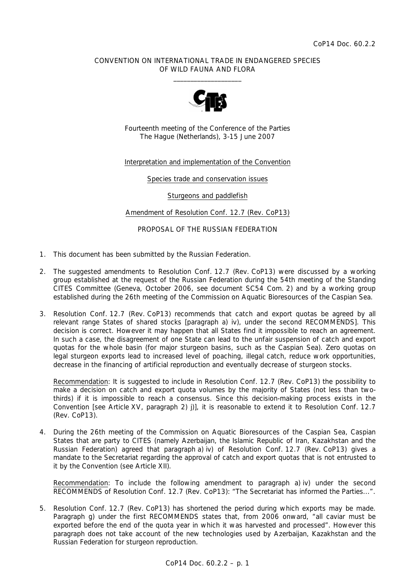## CONVENTION ON INTERNATIONAL TRADE IN ENDANGERED SPECIES OF WILD FAUNA AND FLORA  $\frac{1}{2}$  , and the set of the set of the set of the set of the set of the set of the set of the set of the set of the set of the set of the set of the set of the set of the set of the set of the set of the set of the set



Fourteenth meeting of the Conference of the Parties The Hague (Netherlands), 3-15 June 2007

## Interpretation and implementation of the Convention

Species trade and conservation issues

Sturgeons and paddlefish

Amendment of Resolution Conf. 12.7 (Rev. CoP13)

## PROPOSAL OF THE RUSSIAN FEDERATION

- 1. This document has been submitted by the Russian Federation.
- 2. The suggested amendments to Resolution Conf. 12.7 (Rev. CoP13) were discussed by a working group established at the request of the Russian Federation during the 54th meeting of the Standing CITES Committee (Geneva, October 2006, see document SC54 Com. 2) and by a working group established during the 26th meeting of the Commission on Aquatic Bioresources of the Caspian Sea.
- 3. Resolution Conf. 12.7 (Rev. CoP13) recommends that catch and export quotas be agreed by all relevant range States of shared stocks [paragraph a) iv), under the second RECOMMENDS]. This decision is correct. However it may happen that all States find it impossible to reach an agreement. In such a case, the disagreement of one State can lead to the unfair suspension of catch and export quotas for the whole basin (for major sturgeon basins, such as the Caspian Sea). Zero quotas on legal sturgeon exports lead to increased level of poaching, illegal catch, reduce work opportunities, decrease in the financing of artificial reproduction and eventually decrease of sturgeon stocks.

 Recommendation: It is suggested to include in Resolution Conf. 12.7 (Rev. CoP13) the possibility to make a decision on catch and export quota volumes by the majority of States (not less than twothirds) if it is impossible to reach a consensus. Since this decision-making process exists in the Convention [see Article XV, paragraph 2) j)], it is reasonable to extend it to Resolution Conf. 12.7 (Rev. CoP13).

4. During the 26th meeting of the Commission on Aquatic Bioresources of the Caspian Sea, Caspian States that are party to CITES (namely Azerbaijan, the Islamic Republic of Iran, Kazakhstan and the Russian Federation) agreed that paragraph a) iv) of Resolution Conf. 12.7 (Rev. CoP13) gives a mandate to the Secretariat regarding the approval of catch and export quotas that is not entrusted to it by the Convention (see Article XII).

 Recommendation: To include the following amendment to paragraph a) iv) under the second RECOMMENDS of Resolution Conf. 12.7 (Rev. CoP13): "The Secretariat has informed the Parties...".

5. Resolution Conf. 12.7 (Rev. CoP13) has shortened the period during which exports may be made. Paragraph g) under the first RECOMMENDS states that, from 2006 onward, "all caviar must be exported before the end of the quota year in which it was harvested and processed". However this paragraph does not take account of the new technologies used by Azerbaijan, Kazakhstan and the Russian Federation for sturgeon reproduction.